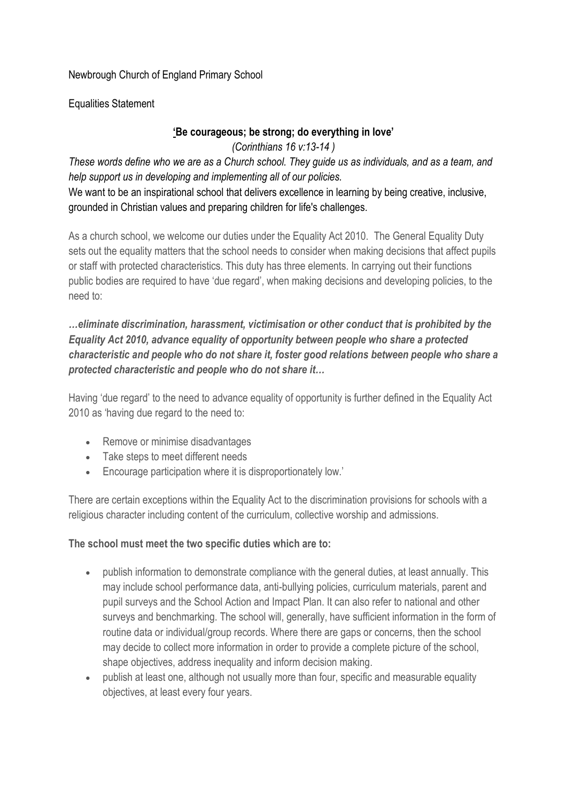## Newbrough Church of England Primary School

Equalities Statement

## **'Be courageous; be strong; do everything in love'**

*(Corinthians 16 v:13-14 )*

These words define who we are as a Church school. They quide us as individuals, and as a team, and *help support us in developing and implementing all of our policies.*

We want to be an inspirational school that delivers excellence in learning by being creative, inclusive, grounded in Christian values and preparing children for life's challenges.

As a church school, we welcome our duties under the Equality Act 2010. The General Equality Duty sets out the equality matters that the school needs to consider when making decisions that affect pupils or staff with protected characteristics. This duty has three elements. In carrying out their functions public bodies are required to have 'due regard', when making decisions and developing policies, to the need to:

## *…eliminate discrimination, harassment, victimisation or other conduct that is prohibited by the Equality Act 2010, advance equality of opportunity between people who share a protected characteristic and people who do not share it, foster good relations between people who share a protected characteristic and people who do not share it…*

Having 'due regard' to the need to advance equality of opportunity is further defined in the Equality Act 2010 as 'having due regard to the need to:

- Remove or minimise disadvantages
- Take steps to meet different needs
- Encourage participation where it is disproportionately low.'

There are certain exceptions within the Equality Act to the discrimination provisions for schools with a religious character including content of the curriculum, collective worship and admissions.

## **The school must meet the two specific duties which are to:**

- publish information to demonstrate compliance with the general duties, at least annually. This may include school performance data, anti-bullying policies, curriculum materials, parent and pupil surveys and the School Action and Impact Plan. It can also refer to national and other surveys and benchmarking. The school will, generally, have sufficient information in the form of routine data or individual/group records. Where there are gaps or concerns, then the school may decide to collect more information in order to provide a complete picture of the school, shape objectives, address inequality and inform decision making.
- publish at least one, although not usually more than four, specific and measurable equality objectives, at least every four years.